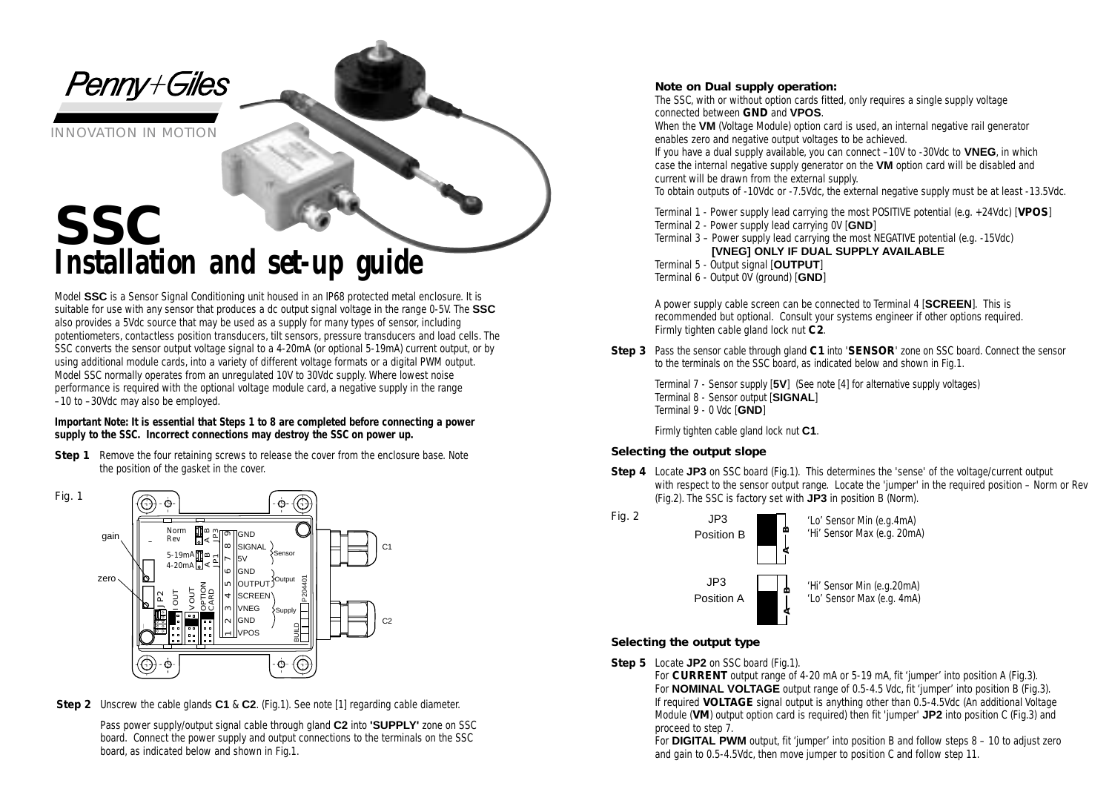*Penny+Giles* 

INNOVATION IN MOTION

# **SSC** *Installation and set-up guide*

Model **SSC** is a Sensor Signal Conditioning unit housed in an IP68 protected metal enclosure. It is suitable for use with any sensor that produces a dc output signal voltage in the range 0-5V. The **SSC** also provides a 5Vdc source that may be used as a supply for many types of sensor, including potentiometers, contactless position transducers, tilt sensors, pressure transducers and load cells. The SSC converts the sensor output voltage signal to a 4-20mA (or optional 5-19mA) current output, or by using additional module cards, into a variety of different voltage formats or a digital PWM output. Model SSC normally operates from an unregulated 10V to 30Vdc supply. Where lowest noise performance is required with the optional voltage module card, a negative supply in the range –10 to –30Vdc may also be employed.

**Important Note: It is essential that Steps 1 to 8 are completed before connecting a power supply to the SSC. Incorrect connections may destroy the SSC on power up.**

**Step 1** Remove the four retaining screws to release the cover from the enclosure base. Note the position of the gasket in the cover.



*Step 2* Unscrew the cable glands **C1** & **C2**. (Fig.1). See note [1] regarding cable diameter.

Pass power supply/output signal cable through gland **C2** into **'SUPPLY'** zone on SSC board. Connect the power supply and output connections to the terminals on the SSC board, as indicated below and shown in Fig.1.

#### **Note on Dual supply operation:**

The SSC, with or without option cards fitted, only requires a single supply voltage connected between **GND** and **VPOS**.

When the **VM** (Voltage Module) option card is used, an internal negative rail generator enables zero and negative output voltages to be achieved.

If you have a dual supply available, you can connect –10V to -30Vdc to **VNEG**, in which case the internal negative supply generator on the **VM** option card will be disabled and current will be drawn from the external supply.

To obtain outputs of -10Vdc or -7.5Vdc, the external negative supply must be at least -13.5Vdc.

Terminal 1 - Power supply lead carrying the most POSITIVE potential (e.g. +24Vdc) [**VPOS**]

Terminal 2 - Power supply lead carrying 0V [**GND**]

Terminal 3 – Power supply lead carrying the most NEGATIVE potential (e.g. -15Vdc) **[VNEG] ONLY IF DUAL SUPPLY AVAILABLE**

Terminal 5 - Output signal [**OUTPUT**] Terminal 6 - Output 0V (ground) [**GND**]

A power supply cable screen can be connected to Terminal 4 [**SCREEN**]. This is recommended but optional. Consult your systems engineer if other options required. Firmly tighten cable gland lock nut **C2**.

*Step 3* Pass the sensor cable through gland **C1** into '**SENSOR**' zone on SSC board. Connect the sensor to the terminals on the SSC board, as indicated below and shown in Fig.1.

Terminal 7 - Sensor supply [**5V**] (See note [4] for alternative supply voltages) Terminal 8 - Sensor output [**SIGNAL**] Terminal 9 - 0 Vdc [**GND**]

Firmly tighten cable gland lock nut **C1**.

## **Selecting the output slope**

*Step 4* Locate **JP3** on SSC board (Fig.1). This determines the 'sense' of the voltage/current output with respect to the sensor output range. Locate the 'jumper' in the required position – Norm or Rev (Fig.2). The SSC is factory set with **JP3** in position B (Norm).



## **Selecting the output type**

- *Step 5* Locate **JP2** on SSC board (Fig.1).
	- For **CURRENT** output range of 4-20 mA or 5-19 mA, fit 'jumper' into position A (Fig.3). For **NOMINAL VOLTAGE** output range of 0.5-4.5 Vdc, fit 'jumper' into position B (Fig.3). If required **VOLTAGE** signal output is anything other than 0.5-4.5Vdc (An additional Voltage Module (**VM**) output option card is required) then fit 'jumper' **JP2** into position C (Fig.3) and proceed to step 7.

For **DIGITAL PWM** output, fit 'jumper' into position B and follow steps 8 – 10 to adjust zero and gain to 0.5-4.5Vdc, then move jumper to position C and follow step 11.